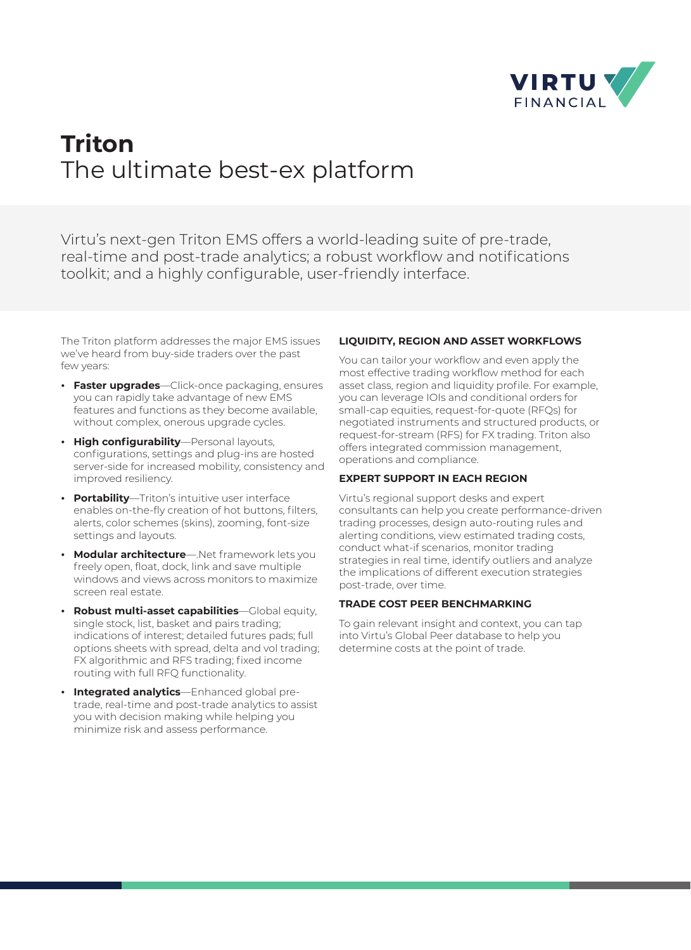

# **Triton**  The ultimate best-ex platform

Virtu's next-gen Triton EMS offers a world-leading suite of pre-trade, real-time and post-trade analytics; a robust workflow and notifications toolkit; and a highly configurable, user-friendly interface.

The Triton platform addresses the major EMS issues we've heard from buy-side traders over the past few years:

- **¬ Faster upgrades**—Click-once packaging, ensures you can rapidly take advantage of new EMS features and functions as they become available, without complex, onerous upgrade cycles.
- **¬ High configurability**—Personal layouts, configurations, settings and plug-ins are hosted server-side for increased mobility, consistency and improved resiliency.
- **¬ Portability**—Triton's intuitive user interface enables on-the-fly creation of hot buttons, filters, alerts, color schemes (skins), zooming, font-size settings and layouts.
- **¬ Modular architecture**—.Net framework lets you freely open, float, dock, link and save multiple windows and views across monitors to maximize screen real estate.
- **¬ Robust multi-asset capabilities**—Global equity, single stock, list, basket and pairs trading; indications of interest; detailed futures pads; full options sheets with spread, delta and vol trading; FX algorithmic and RFS trading; fixed income routing with full RFQ functionality.
- **¬ Integrated analytics**—Enhanced global pretrade, real-time and post-trade analytics to assist you with decision making while helping you minimize risk and assess performance.

### **LIQUIDITY, REGION AND ASSET WORKFLOWS**

You can tailor your workflow and even apply the most effective trading workflow method for each asset class, region and liquidity profile. For example, you can leverage IOIs and conditional orders for small-cap equities, request-for-quote (RFQs) for negotiated instruments and structured products, or request-for-stream (RFS) for FX trading. Triton also offers integrated commission management, operations and compliance.

# **EXPERT SUPPORT IN EACH REGION**

Virtu's regional support desks and expert consultants can help you create performance-driven trading processes, design auto-routing rules and alerting conditions, view estimated trading costs, conduct what-if scenarios, monitor trading strategies in real time, identify outliers and analyze the implications of different execution strategies post-trade, over time.

### **TRADE COST PEER BENCHMARKING**

To gain relevant insight and context, you can tap into Virtu's Global Peer database to help you determine costs at the point of trade.